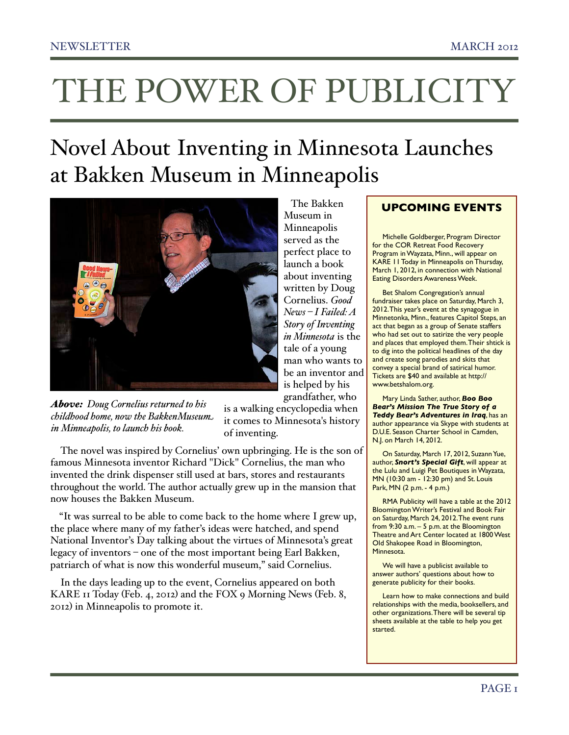## THE POWER OF PUBLICITY

### Novel About Inventing in Minnesota Launches at Bakken Museum in Minneapolis



*Above: Doug Cornelius returned to his childhood home, now the BakkenMuseum in Minneapolis, to launch his book.*

is a walking encyclopedia when it comes to Minnesota's history of inventing.

The novel was inspired by Cornelius' own upbringing. He is the son of famous Minnesota inventor Richard "Dick" Cornelius, the man who invented the drink dispenser still used at bars, stores and restaurants throughout the world. The author actually grew up in the mansion that now houses the Bakken Museum.

"It was surreal to be able to come back to the home where I grew up, the place where many of my father's ideas were hatched, and spend National Inventor's Day talking about the virtues of Minnesota's great legacy of inventors – one of the most important being Earl Bakken, patriarch of what is now this wonderful museum," said Cornelius.

In the days leading up to the event, Cornelius appeared on both KARE 11 Today (Feb. 4, 2012) and the FOX 9 Morning News (Feb. 8, 2012) in Minneapolis to promote it.

#### The Bakken Museum in Minneapolis served as the perfect place to launch a book about inventing written by Doug Cornelius. *Good News – I Failed: A Story of Inventing in Minnesota* is the tale of a young man who wants to be an inventor and is helped by his grandfather, who

#### Michelle Goldberger, Program Director for the COR Retreat Food Recovery Program in Wayzata, Minn., will appear on

KARE 11 Today in Minneapolis on Thursday, March 1, 2012, in connection with National Eating Disorders Awareness Week. Bet Shalom Congregation's annual fundraiser takes place on Saturday, March 3, 2012. This year's event at the synagogue in

**UPCOMING EVENTS**

Minnetonka, Minn., features Capitol Steps, an act that began as a group of Senate staffers who had set out to satirize the very people and places that employed them. Their shtick is to dig into the political headlines of the day and create song parodies and skits that convey a special brand of satirical humor. Tickets are \$40 and available at [http://](http://www.betshalom.org) [www.betshalom.org.](http://www.betshalom.org)

Mary Linda Sather, author, *Boo Boo Bear's Mission The True Story of a Teddy Bear's Adventures in Iraq*, has an author appearance via Skype with students at D.U.E. Season Charter School in Camden, N.J. on March 14, 2012.

On Saturday, March 17, 2012, Suzann Yue, author, *Snort's Special Gift*, will appear at the Lulu and Luigi Pet Boutiques in Wayzata, MN (10:30 am - 12:30 pm) and St. Louis Park, MN (2 p.m. - 4 p.m.)

RMA Publicity will have a table at the 2012 Bloomington Writer's Festival and Book Fair on Saturday, March 24, 2012. The event runs from 9:30 a.m. – 5 p.m. at the Bloomington Theatre and Art Center located at 1800 West Old Shakopee Road in Bloomington, Minnesota.

We will have a publicist available to answer authors' questions about how to generate publicity for their books.

Learn how to make connections and build relationships with the media, booksellers, and other organizations. There will be several tip sheets available at the table to help you get started.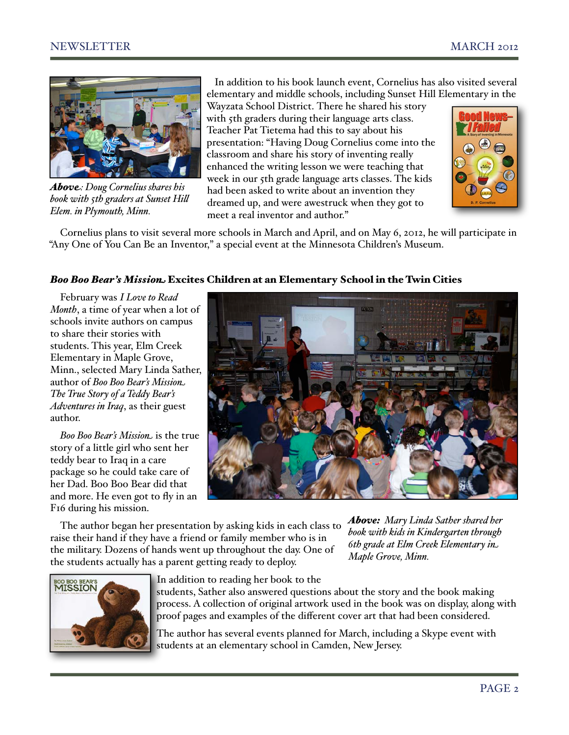

*Above: Doug Cornelius shares his book with 5th graders at Sunset Hill Elem. in Plymouth, Minn.*

 In addition to his book launch event, Cornelius has also visited several elementary and middle schools, including Sunset Hill Elementary in the

Wayzata School District. There he shared his story with 5th graders during their language arts class. Teacher Pat Tietema had this to say about his presentation: "Having Doug Cornelius come into the classroom and share his story of inventing really enhanced the writing lesson we were teaching that week in our 5th grade language arts classes. The kids had been asked to write about an invention they dreamed up, and were awestruck when they got to meet a real inventor and author."



Cornelius plans to visit several more schools in March and April, and on May 6, 2012, he will participate in "Any One of You Can Be an Inventor," a special event at the Minnesota Children's Museum.

#### *Boo Boo Bear's Mission* Excites Children at an Elementary School in the Twin Cities

February was *I Love to Read Month*, a time of year when a lot of schools invite authors on campus to share their stories with students. This year, Elm Creek Elementary in Maple Grove, Minn., selected Mary Linda Sather, author of *Boo Boo Bear's Mission The True Story of a Teddy Bear's Adventures in Iraq*, as their guest author.

*Boo Boo Bear's Mission* is the true story of a little girl who sent her teddy bear to Iraq in a care package so he could take care of her Dad. Boo Boo Bear did that and more. He even got to fly in an F16 during his mission.



The author began her presentation by asking kids in each class to raise their hand if they have a friend or family member who is in the military. Dozens of hands went up throughout the day. One of the students actually has a parent getting ready to deploy.

*Above: Mary Linda Sather shared her book with kids in Kindergarten through 6th grade at Elm Creek Elementary in Maple Grove, Minn.*



In addition to reading her book to the

students, Sather also answered questions about the story and the book making process. A collection of original artwork used in the book was on display, along with proof pages and examples of the different cover art that had been considered.

The author has several events planned for March, including a Skype event with students at an elementary school in Camden, New Jersey.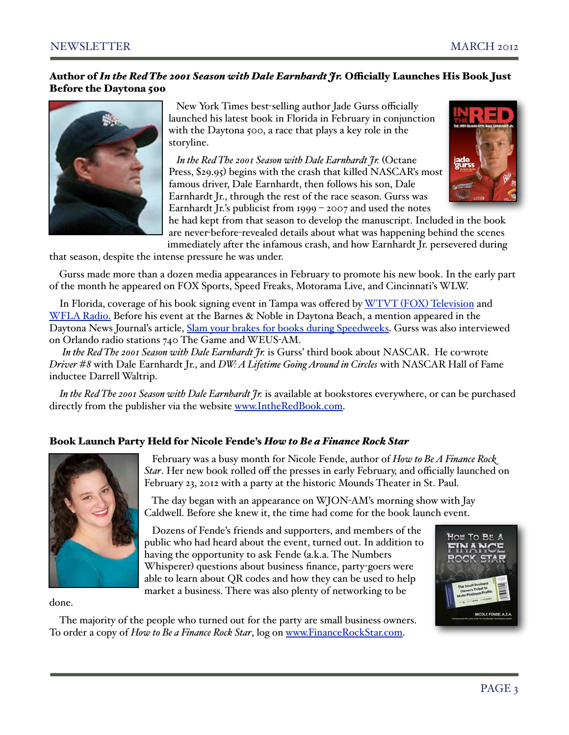#### Author of *In the Red The 2001 Season with Dale Earnhardt Jr.* O!cially Launches His Book Just Before the Daytona 500



 New York Times best-selling author Jade Gurss officially launched his latest book in Florida in February in conjunction with the Daytona 500, a race that plays a key role in the storyline.

 *In the Red The 2001 Season with Dale Earnhardt Jr.* (Octane Press, \$29.95) begins with the crash that killed NASCAR's most famous driver, Dale Earnhardt, then follows his son, Dale Earnhardt Jr., through the rest of the race season. Gurss was Earnhardt Jr.'s publicist from 1999 – 2007 and used the notes



he had kept from that season to develop the manuscript. Included in the book are never-before-revealed details about what was happening behind the scenes immediately after the infamous crash, and how Earnhardt Jr. persevered during

that season, despite the intense pressure he was under.

Gurss made more than a dozen media appearances in February to promote his new book. In the early part of the month he appeared on FOX Sports, Speed Freaks, Motorama Live, and Cincinnati's WLW.

In Florida, coverage of his book signing event in Tampa was offered by WTVT (FOX) [Television](http://www.myfoxtampabay.com/dpp/good_day/book-sheds-light-on-earnhardt) and [WFLA Radio.](http://www.970wfla.com/player/?mid=21845233) Before his event at the Barnes & Noble in Daytona Beach, a mention appeared in the Daytona News Journal's article, [Slam your brakes for books during Speedweeks.](http://livepage.apple.com/) Gurss was also interviewed on Orlando radio stations 740 The Game and WEUS-AM.

 *In the Red The 2001 Season with Dale Earnhardt Jr.* is Gurss' third book about NASCAR. He co-wrote *Driver #8* with Dale Earnhardt Jr., and *DW: A Lifetime Going Around in Circles* with NASCAR Hall of Fame inductee Darrell Waltrip.

*In the Red The 2001 Season with Dale Earnhardt Jr.* is available at bookstores everywhere, or can be purchased directly from the publisher via the website [www.IntheRedBook.com.](http://www.IntheRedBook.com)

#### Book Launch Party Held for Nicole Fende's *How to Be a Finance Rock Star*



 February was a busy month for Nicole Fende, author of *How to Be A Finance Rock Star*. Her new book rolled off the presses in early February, and officially launched on February 23, 2012 with a party at the historic Mounds Theater in St. Paul.

 The day began with an appearance on WJON-AM's morning show with Jay Caldwell. Before she knew it, the time had come for the book launch event.

 Dozens of Fende's friends and supporters, and members of the public who had heard about the event, turned out. In addition to having the opportunity to ask Fende (a.k.a. The Numbers Whisperer) questions about business finance, party-goers were able to learn about QR codes and how they can be used to help market a business. There was also plenty of networking to be



done.

The majority of the people who turned out for the party are small business owners. To order a copy of *How to Be a Finance Rock Star*, log on [www.FinanceRockStar.com.](http://www.FinanceRockStar.com)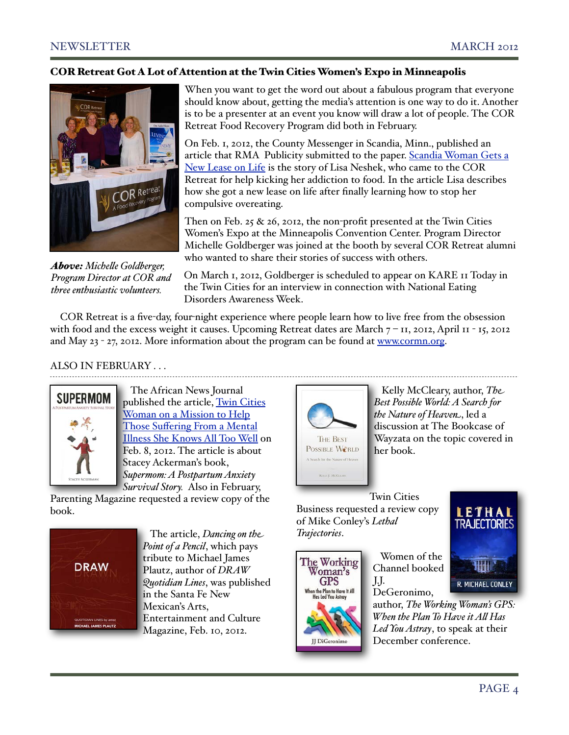#### COR Retreat Got A Lot of Attention at the Twin Cities Women's Expo in Minneapolis



*Above: Miche\$e Goldberger, Program Director at COR and three enthusiastic volunteers.*

When you want to get the word out about a fabulous program that everyone should know about, getting the media's attention is one way to do it. Another is to be a presenter at an event you know will draw a lot of people. The COR Retreat Food Recovery Program did both in February.

On Feb. 1, 2012, the County Messenger in Scandia, Minn., published an article that RMA Publicity submitted to the paper. [Scandia Woman Gets a](http://www.presspubs.com/messenger/news/article_7d93ae82-4cfc-11e1-b0cc-0019bb2963f4.html)  [New Lease on Life](http://www.presspubs.com/messenger/news/article_7d93ae82-4cfc-11e1-b0cc-0019bb2963f4.html) is the story of Lisa Neshek, who came to the COR Retreat for help kicking her addiction to food. In the article Lisa describes how she got a new lease on life after finally learning how to stop her compulsive overeating.

Then on Feb. 25 & 26, 2012, the non-profit presented at the Twin Cities Women's Expo at the Minneapolis Convention Center. Program Director Michelle Goldberger was joined at the booth by several COR Retreat alumni who wanted to share their stories of success with others.

On March 1, 2012, Goldberger is scheduled to appear on KARE 11 Today in the Twin Cities for an interview in connection with National Eating Disorders Awareness Week.

COR Retreat is a five-day, four-night experience where people learn how to live free from the obsession with food and the excess weight it causes. Upcoming Retreat dates are March  $7 - I1$ , 2012, April 11 - 15, 2012 and May 23 - 27, 2012. More information about the program can be found at [www.cormn.org.](http://www.cormn.org)

#### ALSO IN FEBRUARY . . .



 The African News Journal published the article, Twin Cities [Woman on a Mission to Help](http://www.anjnews.com/content/twin-cities-woman-mission-help-those-suffering-mental-illness-she-knows-all-too-well)  Those Suff[ering From a Mental](http://www.anjnews.com/content/twin-cities-woman-mission-help-those-suffering-mental-illness-she-knows-all-too-well)  [Illness She Knows All Too Well](http://www.anjnews.com/content/twin-cities-woman-mission-help-those-suffering-mental-illness-she-knows-all-too-well) on Feb. 8, 2012. The article is about Stacey Ackerman's book, *Supermom: A Postpartum Anxiety Survival Story.* Also in February,

Parenting Magazine requested a review copy of the book.



 The article, *Dancing on the Point of a Pencil*, which pays tribute to Michael James Plautz, author of *DRAW Quotidian Lines*, was published in the Santa Fe New Mexican's Arts, Entertainment and Culture Magazine, Feb. 10, 2012.



 Kelly McCleary, author, *The Best Possible World: A Search for the Nature of Heaven*, led a discussion at The Bookcase of Wayzata on the topic covered in her book.

Twin Cities Business requested a review copy of Mike Conley's *Lethal Trajectories*.



 Women of the Channel booked J.J. DeGeronimo,



author, *The Working Woman's GPS: When the Plan To Have it A\$ Has Led You Astray*, to speak at their December conference.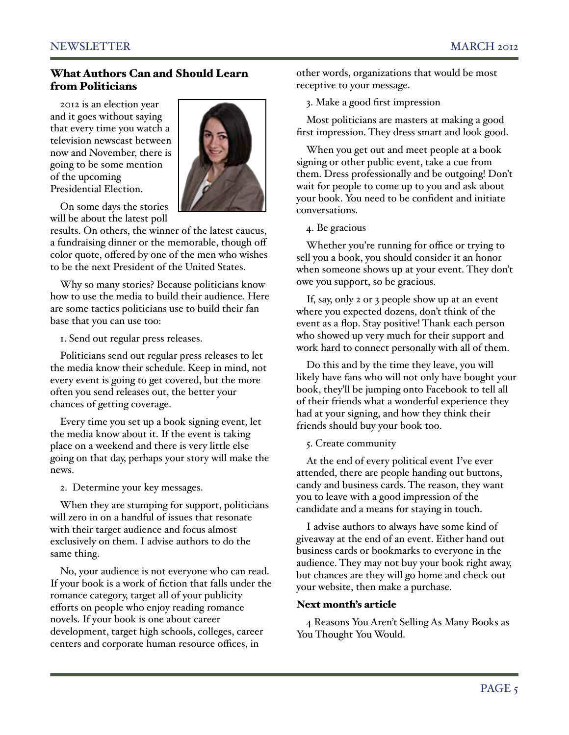#### What Authors Can and Should Learn from Politicians

2012 is an election year and it goes without saying that every time you watch a television newscast between now and November, there is going to be some mention of the upcoming Presidential Election.



On some days the stories will be about the latest poll

results. On others, the winner of the latest caucus, a fundraising dinner or the memorable, though off color quote, offered by one of the men who wishes to be the next President of the United States.

Why so many stories? Because politicians know how to use the media to build their audience. Here are some tactics politicians use to build their fan base that you can use too:

1. Send out regular press releases.

Politicians send out regular press releases to let the media know their schedule. Keep in mind, not every event is going to get covered, but the more often you send releases out, the better your chances of getting coverage.

Every time you set up a book signing event, let the media know about it. If the event is taking place on a weekend and there is very little else going on that day, perhaps your story will make the news.

2. Determine your key messages.

When they are stumping for support, politicians will zero in on a handful of issues that resonate with their target audience and focus almost exclusively on them. I advise authors to do the same thing.

No, your audience is not everyone who can read. If your book is a work of fiction that falls under the romance category, target all of your publicity efforts on people who enjoy reading romance novels. If your book is one about career development, target high schools, colleges, career centers and corporate human resource offices, in

other words, organizations that would be most receptive to your message.

3. Make a good first impression

Most politicians are masters at making a good first impression. They dress smart and look good.

When you get out and meet people at a book signing or other public event, take a cue from them. Dress professionally and be outgoing! Don't wait for people to come up to you and ask about your book. You need to be confident and initiate conversations.

4. Be gracious

Whether you're running for office or trying to sell you a book, you should consider it an honor when someone shows up at your event. They don't owe you support, so be gracious.

If, say, only 2 or 3 people show up at an event where you expected dozens, don't think of the event as a flop. Stay positive! Thank each person who showed up very much for their support and work hard to connect personally with all of them.

Do this and by the time they leave, you will likely have fans who will not only have bought your book, they'll be jumping onto Facebook to tell all of their friends what a wonderful experience they had at your signing, and how they think their friends should buy your book too.

5. Create community

At the end of every political event I've ever attended, there are people handing out buttons, candy and business cards. The reason, they want you to leave with a good impression of the candidate and a means for staying in touch.

I advise authors to always have some kind of giveaway at the end of an event. Either hand out business cards or bookmarks to everyone in the audience. They may not buy your book right away, but chances are they will go home and check out your website, then make a purchase.

#### Next month's article

4 Reasons You Aren't Selling As Many Books as You Thought You Would.